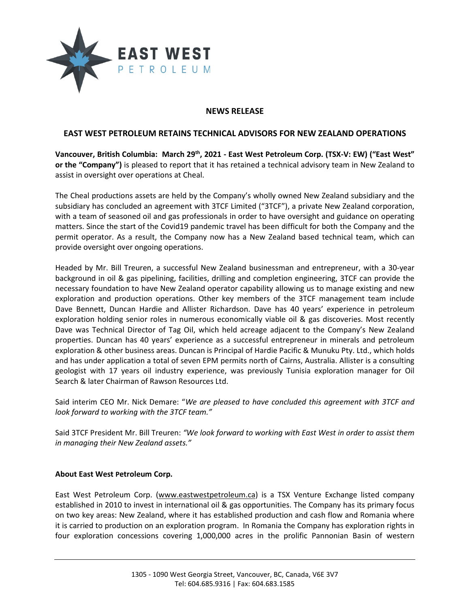

## **NEWS RELEASE**

## **EAST WEST PETROLEUM RETAINS TECHNICAL ADVISORS FOR NEW ZEALAND OPERATIONS**

**Vancouver, British Columbia: March 29th, 2021 - East West Petroleum Corp. (TSX-V: EW) ("East West" or the "Company")** is pleased to report that it has retained a technical advisory team in New Zealand to assist in oversight over operations at Cheal.

The Cheal productions assets are held by the Company's wholly owned New Zealand subsidiary and the subsidiary has concluded an agreement with 3TCF Limited ("3TCF"), a private New Zealand corporation, with a team of seasoned oil and gas professionals in order to have oversight and guidance on operating matters. Since the start of the Covid19 pandemic travel has been difficult for both the Company and the permit operator. As a result, the Company now has a New Zealand based technical team, which can provide oversight over ongoing operations.

Headed by Mr. Bill Treuren, a successful New Zealand businessman and entrepreneur, with a 30-year background in oil & gas pipelining, facilities, drilling and completion engineering, 3TCF can provide the necessary foundation to have New Zealand operator capability allowing us to manage existing and new exploration and production operations. Other key members of the 3TCF management team include Dave Bennett, Duncan Hardie and Allister Richardson. Dave has 40 years' experience in petroleum exploration holding senior roles in numerous economically viable oil & gas discoveries. Most recently Dave was Technical Director of Tag Oil, which held acreage adjacent to the Company's New Zealand properties. Duncan has 40 years' experience as a successful entrepreneur in minerals and petroleum exploration & other business areas. Duncan is Principal of Hardie Pacific & Munuku Pty. Ltd., which holds and has under application a total of seven EPM permits north of Cairns, Australia. Allister is a consulting geologist with 17 years oil industry experience, was previously Tunisia exploration manager for Oil Search & later Chairman of Rawson Resources Ltd.

Said interim CEO Mr. Nick Demare: "*We are pleased to have concluded this agreement with 3TCF and look forward to working with the 3TCF team."*

Said 3TCF President Mr. Bill Treuren: *"We look forward to working with East West in order to assist them in managing their New Zealand assets."* 

## **About East West Petroleum Corp.**

East West Petroleum Corp. [\(www.eastwestpetroleum.ca\)](http://www.eastwestpetroleum.ca/) is a TSX Venture Exchange listed company established in 2010 to invest in international oil & gas opportunities. The Company has its primary focus on two key areas: New Zealand, where it has established production and cash flow and Romania where it is carried to production on an exploration program. In Romania the Company has exploration rights in four exploration concessions covering 1,000,000 acres in the prolific Pannonian Basin of western